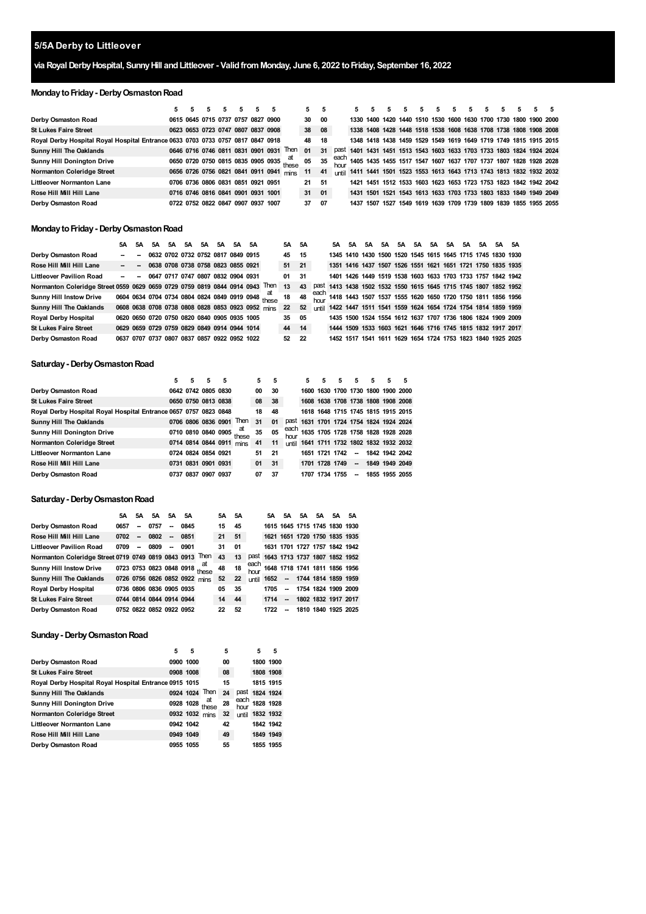# **5/5A Derby to Littleover**

# **via RoyalDerbyHospital, SunnyHill andLittleover - ValidfromMonday, June 6, 2022 toFriday, September 16, 2022**

# **MondaytoFriday- DerbyOsmastonRoad**

|                                                                                 |  |  |                                    |                                                                                | 5     | 5  |  |                                                                        | 5 | 5 |  |  |                                                                               |
|---------------------------------------------------------------------------------|--|--|------------------------------------|--------------------------------------------------------------------------------|-------|----|--|------------------------------------------------------------------------|---|---|--|--|-------------------------------------------------------------------------------|
| Derby Osmaston Road                                                             |  |  | 0615 0645 0715 0737 0757 0827 0900 |                                                                                | 30 00 |    |  | 1330 1400 1420 1440 1510 1530 1600 1630 1700 1730 1800 1900 2000       |   |   |  |  |                                                                               |
| <b>St Lukes Faire Street</b>                                                    |  |  | 0623 0653 0723 0747 0807 0837 0908 |                                                                                | 38 08 |    |  | 1338 1408 1428 1448 1518 1538 1608 1638 1708 1738 1808 1908 2008       |   |   |  |  |                                                                               |
| Royal Derby Hospital Royal Hospital Entrance 0633 0703 0733 0757 0817 0847 0918 |  |  |                                    |                                                                                | 48    | 18 |  | 1348 1418 1438 1459 1529 1549 1619 1649 1719 1749 1815 1915 2015       |   |   |  |  |                                                                               |
| <b>Sunny Hill The Oaklands</b>                                                  |  |  |                                    | 0646 0716 0746 0811 0831 0901 0931 Then                                        | 01    | 31 |  | past 1401 1431 1451 1513 1543 1603 1633 1703 1733 1803 1824 1924 2024  |   |   |  |  |                                                                               |
| <b>Sunny Hill Donington Drive</b>                                               |  |  |                                    | 0650 0720 0750 0815 0835 0905 0935 at<br>sease agos under 0835 0905 0935 these | 05    | 35 |  |                                                                        |   |   |  |  | each<br>hour 1405 1435 1455 1517 1547 1607 1637 1707 1737 1807 1828 1928 2028 |
| Normanton Coleridge Street                                                      |  |  |                                    | 0656 0726 0756 0821 0841 0911 0941 mins                                        | 11    | 41 |  | until 1411 1441 1501 1523 1553 1613 1643 1713 1743 1813 1832 1932 2032 |   |   |  |  |                                                                               |
| <b>Littleover Normanton Lane</b>                                                |  |  | 0706 0736 0806 0831 0851 0921 0951 |                                                                                | 21 51 |    |  | 1421 1451 1512 1533 1603 1623 1653 1723 1753 1823 1842 1942 2042       |   |   |  |  |                                                                               |
| Rose Hill Mill Hill Lane                                                        |  |  | 0716 0746 0816 0841 0901 0931 1001 |                                                                                | 31 01 |    |  | 1431 1501 1521 1543 1613 1633 1703 1733 1803 1833 1849 1949 2049       |   |   |  |  |                                                                               |
| Derby Osmaston Road                                                             |  |  | 0722 0752 0822 0847 0907 0937 1007 |                                                                                | 37 07 |    |  | 1437 1507 1527 1549 1619 1639 1709 1739 1809 1839 1855 1955 2055       |   |   |  |  |                                                                               |

#### **MondaytoFriday- DerbyOsmastonRoad**

|                                                                              | 5A     | 5A     | 5A | 5A 5A                                        | 5A | 5A 5A 5A |                                              |                                                                               | 5A 5A |    | 5A |                                                                     | 5A 5A 5A | 5A | 5A | 5A 5A 5A 5A |  | 5A 5A |  |
|------------------------------------------------------------------------------|--------|--------|----|----------------------------------------------|----|----------|----------------------------------------------|-------------------------------------------------------------------------------|-------|----|----|---------------------------------------------------------------------|----------|----|----|-------------|--|-------|--|
| Derby Osmaston Road                                                          | $\sim$ | $\sim$ |    | 0632 0702 0732 0752 0817 0849 0915           |    |          |                                              |                                                                               | 45 15 |    |    | 1345 1410 1430 1500 1520 1545 1615 1645 1715 1745 1830 1930         |          |    |    |             |  |       |  |
| Rose Hill Mill Hill Lane                                                     |        |        |    |                                              |    |          | $-$ - 0638 0708 0738 0758 0823 0855 0921     |                                                                               | 51 21 |    |    | 1351 1416 1437 1507 1526 1551 1621 1651 1721 1750 1835 1935         |          |    |    |             |  |       |  |
| <b>Littleover Pavilion Road</b>                                              |        |        |    | $ -$ 0647 0717 0747 0807 0832 0904 0931      |    |          |                                              |                                                                               | 01 31 |    |    | 1401 1426 1449 1519 1538 1603 1633 1703 1733 1757 1842 1942         |          |    |    |             |  |       |  |
| Normanton Coleridge Street 0559 0629 0659 0729 0759 0819 0844 0914 0943 Then |        |        |    |                                              |    |          |                                              |                                                                               | 13    | 43 |    | past 1413 1438 1502 1532 1550 1615 1645 1715 1745 1807 1852 1952    |          |    |    |             |  |       |  |
| <b>Sunny Hill Instow Drive</b>                                               |        |        |    |                                              |    |          |                                              | 0604 0634 0704 0734 0804 0824 0849 0919 0948 $\frac{\text{at}}{\text{these}}$ | 18    |    |    | 48 each 1418 1443 1507 1537 1555 1620 1650 1720 1750 1811 1856 1956 |          |    |    |             |  |       |  |
| <b>Sunny Hill The Oaklands</b>                                               |        |        |    |                                              |    |          |                                              | 0608 0638 0708 0738 0808 0828 0853 0923 0952 mins                             | 22    | 52 |    | until 1422 1447 1511 1541 1559 1624 1654 1724 1754 1814 1859 1959   |          |    |    |             |  |       |  |
| <b>Royal Derby Hospital</b>                                                  |        |        |    | 0620 0650 0720 0750 0820 0840 0905 0935 1005 |    |          |                                              |                                                                               | 35 05 |    |    | 1435 1500 1524 1554 1612 1637 1707 1736 1806 1824 1909 2009         |          |    |    |             |  |       |  |
| <b>St Lukes Faire Street</b>                                                 |        |        |    |                                              |    |          | 0629 0659 0729 0759 0829 0849 0914 0944 1014 |                                                                               | 44 14 |    |    | 1444 1509 1533 1603 1621 1646 1716 1745 1815 1832 1917 2017         |          |    |    |             |  |       |  |
| Derby Osmaston Road                                                          |        |        |    |                                              |    |          | 0637 0707 0737 0807 0837 0857 0922 0952 1022 |                                                                               | 52 22 |    |    | 1452 1517 1541 1611 1629 1654 1724 1753 1823 1840 1925 2025         |          |    |    |             |  |       |  |

# **Saturday- DerbyOsmastonRoad**

|                                                                  | 5 | 5 | 5                   | 5 |                          | 5  | 5  |       | 5. | 5              | 5              | 5                        | 5                                  | 5 | -5                                      |
|------------------------------------------------------------------|---|---|---------------------|---|--------------------------|----|----|-------|----|----------------|----------------|--------------------------|------------------------------------|---|-----------------------------------------|
| Derby Osmaston Road                                              |   |   | 0642 0742 0805 0830 |   |                          | 00 | 30 |       |    |                |                |                          | 1600 1630 1700 1730 1800 1900 2000 |   |                                         |
| <b>St Lukes Faire Street</b>                                     |   |   | 0650 0750 0813 0838 |   |                          | 08 | 38 |       |    |                |                |                          |                                    |   | 1608 1638 1708 1738 1808 1908 2008      |
| Royal Derby Hospital Royal Hospital Entrance 0657 0757 0823 0848 |   |   |                     |   |                          | 18 | 48 |       |    |                |                |                          |                                    |   | 1618 1648 1715 1745 1815 1915 2015      |
| <b>Sunny Hill The Oaklands</b>                                   |   |   |                     |   | 0706 0806 0836 0901 Then | 31 | 01 |       |    |                |                |                          |                                    |   | past 1631 1701 1724 1754 1824 1924 2024 |
| <b>Sunny Hill Donington Drive</b>                                |   |   | 0710 0810 0840 0905 |   | at<br>these              | 35 | 05 | hour  |    |                |                |                          |                                    |   | each 1635 1705 1728 1758 1828 1928 2028 |
| <b>Normanton Coleridge Street</b>                                |   |   |                     |   | 0714 0814 0844 0911 mins | 41 | 11 | until |    |                |                |                          |                                    |   | 1641 1711 1732 1802 1832 1932 2032      |
| <b>Littleover Normanton Lane</b>                                 |   |   | 0724 0824 0854 0921 |   |                          | 51 | 21 |       |    |                | 1651 1721 1742 | $\overline{\phantom{a}}$ | 1842 1942 2042                     |   |                                         |
| Rose Hill Mill Hill Lane                                         |   |   | 0731 0831 0901 0931 |   |                          | 01 | 31 |       |    |                | 1701 1728 1749 | $\overline{\phantom{a}}$ | 1849 1949 2049                     |   |                                         |
| Derby Osmaston Road                                              |   |   | 0737 0837 0907 0937 |   |                          | 07 | 37 |       |    | 1707 1734 1755 |                | -                        | 1855 1955 2055                     |   |                                         |

#### **Saturday- DerbyOsmastonRoad**

|                                                          | 5А   | 5A                       | 5A                       | 5A                       | 5A                       |                                | 5A 5A |    |              | 5Α                                 | 5A                       | 5A 5A                         | 5A 5A |                                    |
|----------------------------------------------------------|------|--------------------------|--------------------------|--------------------------|--------------------------|--------------------------------|-------|----|--------------|------------------------------------|--------------------------|-------------------------------|-------|------------------------------------|
| Derby Osmaston Road                                      | 0657 | $\overline{\phantom{a}}$ | 0757                     | $\overline{\phantom{a}}$ | 0845                     |                                | 15    | 45 |              |                                    |                          | 1615 1645 1715 1745 1830 1930 |       |                                    |
| Rose Hill Mill Hill Lane                                 | 0702 | -                        | 0802                     | $\sim$                   | 0851                     |                                | 21    | 51 |              |                                    |                          | 1621 1651 1720 1750 1835 1935 |       |                                    |
| <b>Littleover Pavilion Road</b>                          | 0709 | $\sim$                   | 0809                     | $\sim$                   | 0901                     |                                | 31    | 01 |              |                                    |                          | 1631 1701 1727 1757 1842 1942 |       |                                    |
| Normanton Coleridge Street 0719 0749 0819 0843 0913 Then |      |                          |                          |                          |                          |                                | 43    | 13 |              | past 1643 1713 1737 1807 1852 1952 |                          |                               |       |                                    |
| <b>Sunny Hill Instow Drive</b>                           |      |                          |                          |                          |                          | 0723 0753 0823 0848 0918 these | 48    | 18 |              |                                    |                          |                               |       | each 1648 1718 1741 1811 1856 1956 |
| <b>Sunny Hill The Oaklands</b>                           |      |                          |                          |                          |                          | 0726 0756 0826 0852 0922 mins  | 52    | 22 | <b>until</b> | 1652                               |                          | - 1744 1814 1859 1959         |       |                                    |
| Royal Derby Hospital                                     |      |                          |                          |                          | 0736 0806 0836 0905 0935 |                                | 05    | 35 |              | 1705                               | -                        | 1754 1824 1909 2009           |       |                                    |
| <b>St Lukes Faire Street</b>                             |      |                          |                          |                          | 0744 0814 0844 0914 0944 |                                | 14    | 44 |              | 1714                               | $\sim$                   | 1802 1832 1917 2017           |       |                                    |
| <b>Derby Osmaston Road</b>                               |      |                          | 0752 0822 0852 0922 0952 |                          |                          |                                | 22    | 52 |              | 1722                               | $\overline{\phantom{a}}$ | 1810 1840 1925 2025           |       |                                    |

# **Sunday- DerbyOsmastonRoad**

|                                                        | 5         | 5              |                | 5  |              | 5              | 5 |
|--------------------------------------------------------|-----------|----------------|----------------|----|--------------|----------------|---|
| Derby Osmaston Road                                    | 0900 1000 |                |                | 00 |              | 1800 1900      |   |
| <b>St Lukes Faire Street</b>                           |           | 0908 1008      |                | 08 |              | 1808 1908      |   |
| Royal Derby Hospital Royal Hospital Entrance 0915 1015 |           |                |                | 15 |              | 1815 1915      |   |
| <b>Sunny Hill The Oaklands</b>                         |           |                | 0924 1024 Then | 24 |              | past 1824 1924 |   |
| <b>Sunny Hill Donington Drive</b>                      |           | 0928 1028      | at<br>these    | 28 | each<br>hour | 1828 1928      |   |
| <b>Normanton Coleridge Street</b>                      |           | 0932 1032 mins |                | 32 | until        | 1832 1932      |   |
| <b>Littleover Normanton Lane</b>                       | 0942 1042 |                |                | 42 |              | 1842 1942      |   |
| Rose Hill Mill Hill Lane                               | 0949 1049 |                |                | 49 |              | 1849 1949      |   |
| Derby Osmaston Road                                    | 0955 1055 |                |                | 55 |              | 1855 1955      |   |